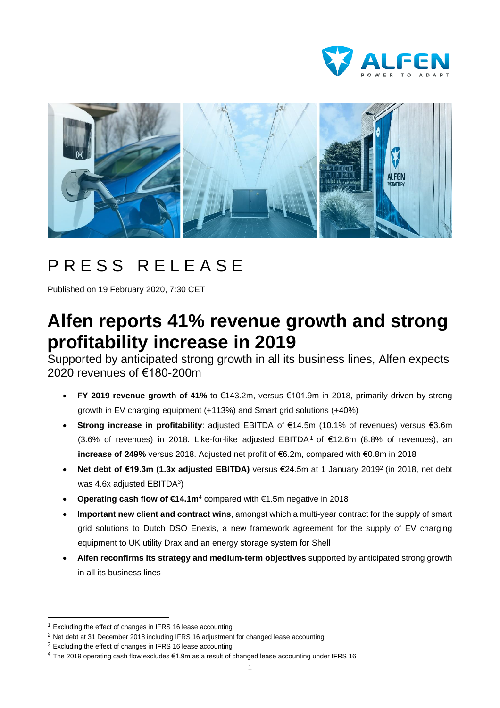



# PRESS RELEASE

Published on 19 February 2020, 7:30 CET

# **Alfen reports 41% revenue growth and strong profitability increase in 2019**

Supported by anticipated strong growth in all its business lines, Alfen expects 2020 revenues of €180-200m

- **FY 2019 revenue growth of 41%** to €143.2m, versus €101.9m in 2018, primarily driven by strong growth in EV charging equipment (+113%) and Smart grid solutions (+40%)
- **Strong increase in profitability**: adjusted EBITDA of €14.5m (10.1% of revenues) versus €3.6m (3.6% of revenues) in 2018. Like-for-like adjusted EBITDA<sup>1</sup> of €12.6m (8.8% of revenues), an **increase of 249%** versus 2018. Adjusted net profit of €6.2m, compared with €0.8m in 2018
- **Net debt of €19.3m (1.3x adjusted EBITDA)** versus €24.5m at 1 January 2019<sup>2</sup> (in 2018, net debt was 4.6x adjusted  $\mathsf{EBITDA^3}\mathsf{)}$
- **Operating cash flow of €14.1m**<sup>4</sup> compared with €1.5m negative in 2018
- **Important new client and contract wins**, amongst which a multi-year contract for the supply of smart grid solutions to Dutch DSO Enexis, a new framework agreement for the supply of EV charging equipment to UK utility Drax and an energy storage system for Shell
- **Alfen reconfirms its strategy and medium-term objectives** supported by anticipated strong growth in all its business lines

<sup>1</sup> Excluding the effect of changes in IFRS 16 lease accounting

<sup>&</sup>lt;sup>2</sup> Net debt at 31 December 2018 including IFRS 16 adjustment for changed lease accounting

<sup>&</sup>lt;sup>3</sup> Excluding the effect of changes in IFRS 16 lease accounting

<sup>4</sup> The 2019 operating cash flow excludes €1.9m as a result of changed lease accounting under IFRS 16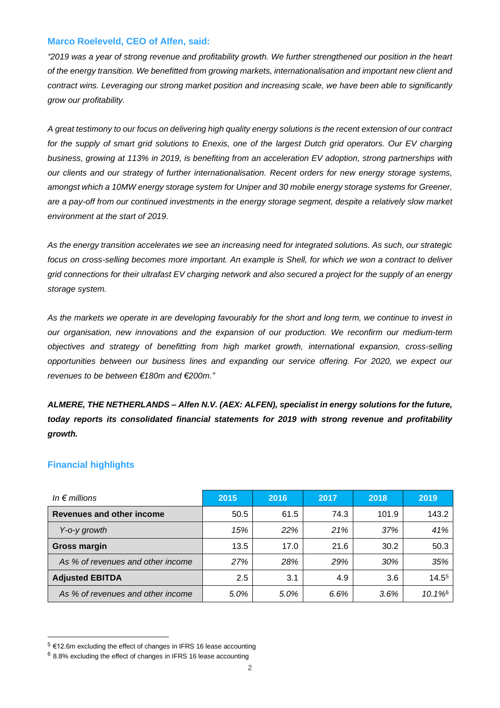#### **Marco Roeleveld, CEO of Alfen, said:**

"2019 was a year of strong revenue and profitability growth. We further strengthened our position in the heart *of the energy transition. We benefitted from growing markets, internationalisation and important new client and contract wins. Leveraging our strong market position and increasing scale, we have been able to significantly grow our profitability.*

A great testimony to our focus on delivering high quality energy solutions is the recent extension of our contract for the supply of smart grid solutions to Enexis, one of the largest Dutch grid operators. Our EV charging *business, growing at 113% in 2019, is benefiting from an acceleration EV adoption, strong partnerships with our clients and our strategy of further internationalisation. Recent orders for new energy storage systems, amongst which a 10MW energy storage system for Uniper and 30 mobile energy storage systems for Greener,* are a pay-off from our continued investments in the energy storage segment, despite a relatively slow market *environment at the start of 2019.*

As the energy transition accelerates we see an increasing need for integrated solutions. As such, our strategic focus on cross-selling becomes more important. An example is Shell, for which we won a contract to deliver grid connections for their ultrafast EV charging network and also secured a project for the supply of an energy *storage system.*

As the markets we operate in are developing favourably for the short and long term, we continue to invest in *our organisation, new innovations and the expansion of our production. We reconfirm our medium-term objectives and strategy of benefitting from high market growth, international expansion, cross-selling opportunities between our business lines and expanding our service offering. For 2020, we expect our revenues to be between €180m and €200m."*

*ALMERE, THE NETHERLANDS – Alfen N.V. (AEX: ALFEN), specialist in energy solutions for the future, today reports its consolidated financial statements for 2019 with strong revenue and profitability growth.*

## **Financial highlights**

| In $\epsilon$ millions            | 2015 | 2016 | 2017 | 2018  | 2019                  |
|-----------------------------------|------|------|------|-------|-----------------------|
| Revenues and other income         | 50.5 | 61.5 | 74.3 | 101.9 | 143.2                 |
| Y-o-y growth                      | 15%  | 22%  | 21%  | 37%   | 41%                   |
| <b>Gross margin</b>               | 13.5 | 17.0 | 21.6 | 30.2  | 50.3                  |
| As % of revenues and other income | 27%  | 28%  | 29%  | 30%   | 35%                   |
| <b>Adjusted EBITDA</b>            | 2.5  | 3.1  | 4.9  | 3.6   | $14.5^{5}$            |
| As % of revenues and other income | 5.0% | 5.0% | 6.6% | 3.6%  | $10.1\%$ <sup>6</sup> |

 $5$  €12.6m excluding the effect of changes in IFRS 16 lease accounting

<sup>6</sup> 8.8% excluding the effect of changes in IFRS 16 lease accounting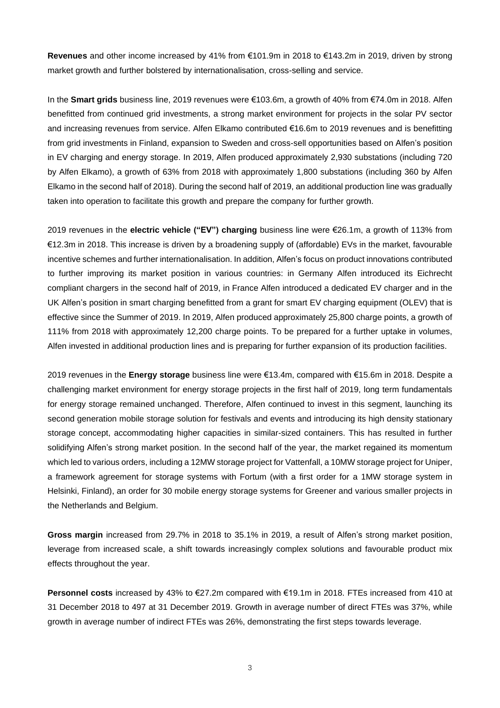**Revenues** and other income increased by 41% from €101.9m in 2018 to €143.2m in 2019, driven by strong market growth and further bolstered by internationalisation, cross-selling and service.

In the **Smart grids** business line, 2019 revenues were €103.6m, a growth of 40% from €74.0m in 2018. Alfen benefitted from continued grid investments, a strong market environment for projects in the solar PV sector and increasing revenues from service. Alfen Elkamo contributed €16.6m to 2019 revenues and is benefitting from grid investments in Finland, expansion to Sweden and cross-sell opportunities based on Alfen's position in EV charging and energy storage. In 2019, Alfen produced approximately 2,930 substations (including 720 by Alfen Elkamo), a growth of 63% from 2018 with approximately 1,800 substations (including 360 by Alfen Elkamo in the second half of 2018). During the second half of 2019, an additional production line was gradually taken into operation to facilitate this growth and prepare the company for further growth.

2019 revenues in the **electric vehicle ("EV") charging** business line were €26.1m, a growth of 113% from €12.3m in 2018. This increase is driven by a broadening supply of (affordable) EVs in the market, favourable incentive schemes and further internationalisation. In addition, Alfen's focus on product innovations contributed to further improving its market position in various countries: in Germany Alfen introduced its Eichrecht compliant chargers in the second half of 2019, in France Alfen introduced a dedicated EV charger and in the UK Alfen's position in smart charging benefitted from a grant for smart EV charging equipment (OLEV) that is effective since the Summer of 2019. In 2019, Alfen produced approximately 25,800 charge points, a growth of 111% from 2018 with approximately 12,200 charge points. To be prepared for a further uptake in volumes, Alfen invested in additional production lines and is preparing for further expansion of its production facilities.

2019 revenues in the **Energy storage** business line were €13.4m, compared with €15.6m in 2018. Despite a challenging market environment for energy storage projects in the first half of 2019, long term fundamentals for energy storage remained unchanged. Therefore, Alfen continued to invest in this segment, launching its second generation mobile storage solution for festivals and events and introducing its high density stationary storage concept, accommodating higher capacities in similar-sized containers. This has resulted in further solidifying Alfen's strong market position. In the second half of the year, the market regained its momentum which led to various orders, including a 12MW storage project for Vattenfall, a 10MW storage project for Uniper, a framework agreement for storage systems with Fortum (with a first order for a 1MW storage system in Helsinki, Finland), an order for 30 mobile energy storage systems for Greener and various smaller projects in the Netherlands and Belgium.

**Gross margin** increased from 29.7% in 2018 to 35.1% in 2019, a result of Alfen's strong market position, leverage from increased scale, a shift towards increasingly complex solutions and favourable product mix effects throughout the year.

**Personnel costs** increased by 43% to €27.2m compared with €19.1m in 2018. FTEs increased from 410 at 31 December 2018 to 497 at 31 December 2019. Growth in average number of direct FTEs was 37%, while growth in average number of indirect FTEs was 26%, demonstrating the first steps towards leverage.

3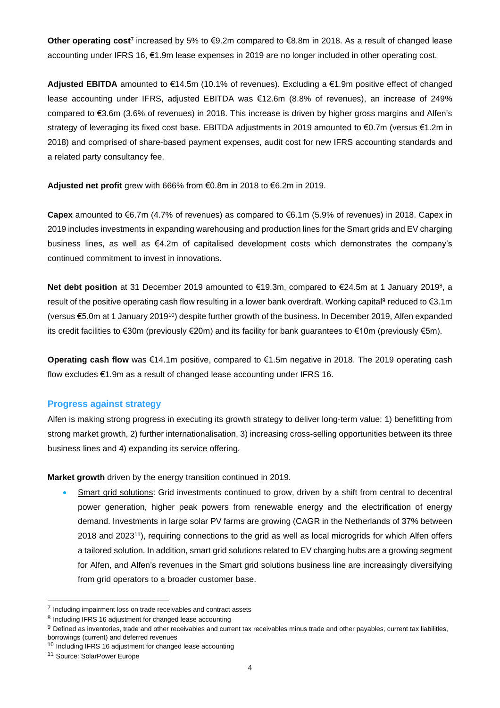**Other operating cost**<sup>7</sup> increased by 5% to €9.2m compared to €8.8m in 2018. As a result of changed lease accounting under IFRS 16, €1.9m lease expenses in 2019 are no longer included in other operating cost.

**Adjusted EBITDA** amounted to €14.5m (10.1% of revenues). Excluding a €1.9m positive effect of changed lease accounting under IFRS, adjusted EBITDA was €12.6m (8.8% of revenues), an increase of 249% compared to €3.6m (3.6% of revenues) in 2018. This increase is driven by higher gross margins and Alfen's strategy of leveraging its fixed cost base. EBITDA adjustments in 2019 amounted to €0.7m (versus €1.2m in 2018) and comprised of share-based payment expenses, audit cost for new IFRS accounting standards and a related party consultancy fee.

**Adjusted net profit** grew with 666% from €0.8m in 2018 to €6.2m in 2019.

**Capex** amounted to €6.7m (4.7% of revenues) as compared to €6.1m (5.9% of revenues) in 2018. Capex in 2019 includes investments in expanding warehousing and production lines for the Smart grids and EV charging business lines, as well as €4.2m of capitalised development costs which demonstrates the company's continued commitment to invest in innovations.

**Net debt position** at 31 December 2019 amounted to €19.3m, compared to €24.5m at 1 January 2019<sup>8</sup> , a result of the positive operating cash flow resulting in a lower bank overdraft. Working capital<sup>9</sup> reduced to €3.1m (versus €5.0m at 1 January 2019<sup>10</sup>) despite further growth of the business. In December 2019, Alfen expanded its credit facilities to €30m (previously €20m) and its facility for bank guarantees to €10m (previously €5m).

**Operating cash flow** was €14.1m positive, compared to €1.5m negative in 2018. The 2019 operating cash flow excludes €1.9m as a result of changed lease accounting under IFRS 16.

## **Progress against strategy**

Alfen is making strong progress in executing its growth strategy to deliver long-term value: 1) benefitting from strong market growth, 2) further internationalisation, 3) increasing cross-selling opportunities between its three business lines and 4) expanding its service offering.

**Market growth** driven by the energy transition continued in 2019.

• Smart grid solutions: Grid investments continued to grow, driven by a shift from central to decentral power generation, higher peak powers from renewable energy and the electrification of energy demand. Investments in large solar PV farms are growing (CAGR in the Netherlands of 37% between 2018 and 2023<sup>11</sup>), requiring connections to the grid as well as local microgrids for which Alfen offers a tailored solution. In addition, smart grid solutions related to EV charging hubs are a growing segment for Alfen, and Alfen's revenues in the Smart grid solutions business line are increasingly diversifying from grid operators to a broader customer base.

<sup>&</sup>lt;sup>7</sup> Including impairment loss on trade receivables and contract assets

<sup>&</sup>lt;sup>8</sup> Including IFRS 16 adjustment for changed lease accounting

 $9$  Defined as inventories, trade and other receivables and current tax receivables minus trade and other payables, current tax liabilities, borrowings (current) and deferred revenues

<sup>10</sup> Including IFRS 16 adjustment for changed lease accounting

<sup>11</sup> Source: SolarPower Europe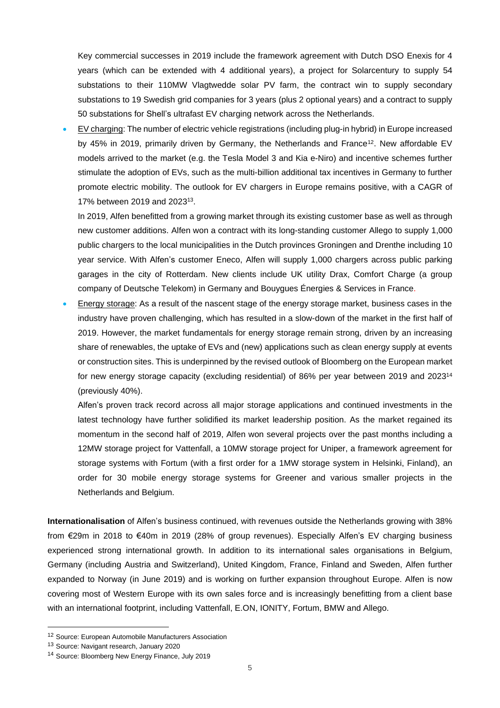Key commercial successes in 2019 include the framework agreement with Dutch DSO Enexis for 4 years (which can be extended with 4 additional years), a project for Solarcentury to supply 54 substations to their 110MW Vlagtwedde solar PV farm, the contract win to supply secondary substations to 19 Swedish grid companies for 3 years (plus 2 optional years) and a contract to supply 50 substations for Shell's ultrafast EV charging network across the Netherlands.

• EV charging: The number of electric vehicle registrations (including plug-in hybrid) in Europe increased by 45% in 2019, primarily driven by Germany, the Netherlands and France<sup>12</sup>. New affordable EV models arrived to the market (e.g. the Tesla Model 3 and Kia e-Niro) and incentive schemes further stimulate the adoption of EVs, such as the multi-billion additional tax incentives in Germany to further promote electric mobility. The outlook for EV chargers in Europe remains positive, with a CAGR of 17% between 2019 and 2023 13 .

In 2019, Alfen benefitted from a growing market through its existing customer base as well as through new customer additions. Alfen won a contract with its long-standing customer Allego to supply 1,000 public chargers to the local municipalities in the Dutch provinces Groningen and Drenthe including 10 year service. With Alfen's customer Eneco, Alfen will supply 1,000 chargers across public parking garages in the city of Rotterdam. New clients include UK utility Drax, Comfort Charge (a group company of Deutsche Telekom) in Germany and Bouygues Énergies & Services in France.

• Energy storage: As a result of the nascent stage of the energy storage market, business cases in the industry have proven challenging, which has resulted in a slow-down of the market in the first half of 2019. However, the market fundamentals for energy storage remain strong, driven by an increasing share of renewables, the uptake of EVs and (new) applications such as clean energy supply at events or construction sites. This is underpinned by the revised outlook of Bloomberg on the European market for new energy storage capacity (excluding residential) of 86% per year between 2019 and 2023<sup>14</sup> (previously 40%).

Alfen's proven track record across all major storage applications and continued investments in the latest technology have further solidified its market leadership position. As the market regained its momentum in the second half of 2019, Alfen won several projects over the past months including a 12MW storage project for Vattenfall, a 10MW storage project for Uniper, a framework agreement for storage systems with Fortum (with a first order for a 1MW storage system in Helsinki, Finland), an order for 30 mobile energy storage systems for Greener and various smaller projects in the Netherlands and Belgium.

**Internationalisation** of Alfen's business continued, with revenues outside the Netherlands growing with 38% from €29m in 2018 to €40m in 2019 (28% of group revenues). Especially Alfen's EV charging business experienced strong international growth. In addition to its international sales organisations in Belgium, Germany (including Austria and Switzerland), United Kingdom, France, Finland and Sweden, Alfen further expanded to Norway (in June 2019) and is working on further expansion throughout Europe. Alfen is now covering most of Western Europe with its own sales force and is increasingly benefitting from a client base with an international footprint, including Vattenfall, E.ON, IONITY, Fortum, BMW and Allego.

<sup>12</sup> Source: European Automobile Manufacturers Association

<sup>13</sup> Source: Navigant research, January 2020

<sup>&</sup>lt;sup>14</sup> Source: Bloomberg New Energy Finance, July 2019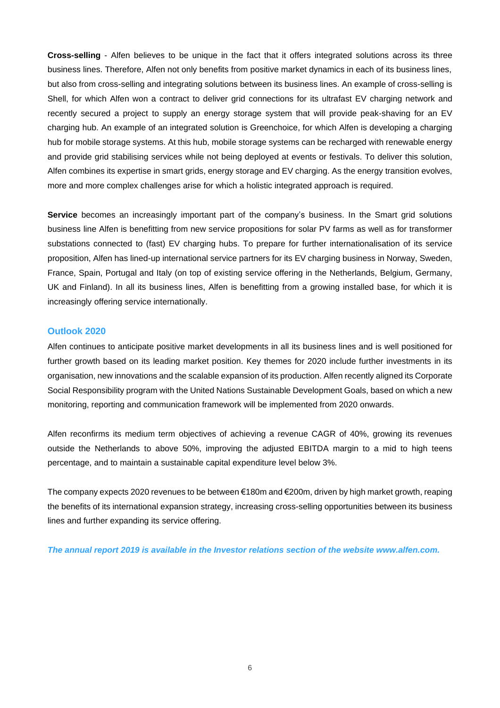**Cross-selling** - Alfen believes to be unique in the fact that it offers integrated solutions across its three business lines. Therefore, Alfen not only benefits from positive market dynamics in each of its business lines, but also from cross-selling and integrating solutions between its business lines. An example of cross-selling is Shell, for which Alfen won a contract to deliver grid connections for its ultrafast EV charging network and recently secured a project to supply an energy storage system that will provide peak-shaving for an EV charging hub. An example of an integrated solution is Greenchoice, for which Alfen is developing a charging hub for mobile storage systems. At this hub, mobile storage systems can be recharged with renewable energy and provide grid stabilising services while not being deployed at events or festivals. To deliver this solution, Alfen combines its expertise in smart grids, energy storage and EV charging. As the energy transition evolves, more and more complex challenges arise for which a holistic integrated approach is required.

**Service** becomes an increasingly important part of the company's business. In the Smart grid solutions business line Alfen is benefitting from new service propositions for solar PV farms as well as for transformer substations connected to (fast) EV charging hubs. To prepare for further internationalisation of its service proposition, Alfen has lined-up international service partners for its EV charging business in Norway, Sweden, France, Spain, Portugal and Italy (on top of existing service offering in the Netherlands, Belgium, Germany, UK and Finland). In all its business lines, Alfen is benefitting from a growing installed base, for which it is increasingly offering service internationally.

## **Outlook 2020**

Alfen continues to anticipate positive market developments in all its business lines and is well positioned for further growth based on its leading market position. Key themes for 2020 include further investments in its organisation, new innovations and the scalable expansion of its production. Alfen recently aligned its Corporate Social Responsibility program with the United Nations Sustainable Development Goals, based on which a new monitoring, reporting and communication framework will be implemented from 2020 onwards.

Alfen reconfirms its medium term objectives of achieving a revenue CAGR of 40%, growing its revenues outside the Netherlands to above 50%, improving the adjusted EBITDA margin to a mid to high teens percentage, and to maintain a sustainable capital expenditure level below 3%.

The company expects 2020 revenues to be between €180m and €200m, driven by high market growth, reaping the benefits of its international expansion strategy, increasing cross-selling opportunities between its business lines and further expanding its service offering.

*The annual report 2019 is available in the Investor relations section of the website www.alfen.com.*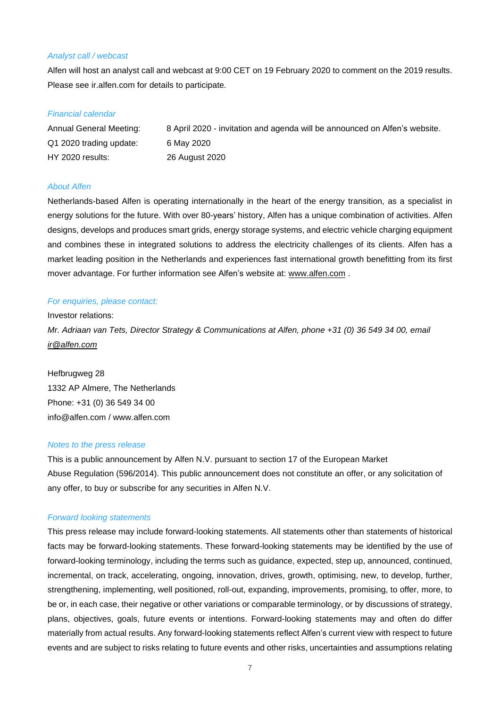## *Analyst call / webcast*

Alfen will host an analyst call and webcast at 9:00 CET on 19 February 2020 to comment on the 2019 results. Please see ir.alfen.com for details to participate.

#### *Financial calendar*

| Annual General Meeting: | 8 April 2020 - invitation and agenda will be announced on Alfen's website. |
|-------------------------|----------------------------------------------------------------------------|
| Q1 2020 trading update: | 6 May 2020                                                                 |
| HY 2020 results:        | 26 August 2020                                                             |

#### *About Alfen*

Netherlands-based Alfen is operating internationally in the heart of the energy transition, as a specialist in energy solutions for the future. With over 80-years' history, Alfen has a unique combination of activities. Alfen designs, develops and produces smart grids, energy storage systems, and electric vehicle charging equipment and combines these in integrated solutions to address the electricity challenges of its clients. Alfen has a market leading position in the Netherlands and experiences fast international growth benefitting from its first mover advantage. For further information see Alfen's website at: [www.alfen.com](http://www.alfen.com/) .

### *For enquiries, please contact:*

Investor relations: Mr. Adriaan van Tets, Director Strategy & Communications at Alfen, phone +31 (0) 36 549 34 00, email *[ir@alfen.com](mailto:ir@alfen.com)*

Hefbrugweg 28 1332 AP Almere, The Netherlands Phone: +31 (0) 36 549 34 00 [info@alfen.com](mailto:info@alfen.com) / www.alfen.com

#### *Notes to the press release*

This is a public announcement by Alfen N.V. pursuant to section 17 of the European Market Abuse Regulation (596/2014). This public announcement does not constitute an offer, or any solicitation of any offer, to buy or subscribe for any securities in Alfen N.V.

#### *Forward looking statements*

This press release may include forward-looking statements. All statements other than statements of historical facts may be forward-looking statements. These forward-looking statements may be identified by the use of forward-looking terminology, including the terms such as guidance, expected, step up, announced, continued, incremental, on track, accelerating, ongoing, innovation, drives, growth, optimising, new, to develop, further, strengthening, implementing, well positioned, roll-out, expanding, improvements, promising, to offer, more, to be or, in each case, their negative or other variations or comparable terminology, or by discussions of strategy, plans, objectives, goals, future events or intentions. Forward-looking statements may and often do differ materially from actual results. Any forward-looking statements reflect Alfen's current view with respect to future events and are subject to risks relating to future events and other risks, uncertainties and assumptions relating